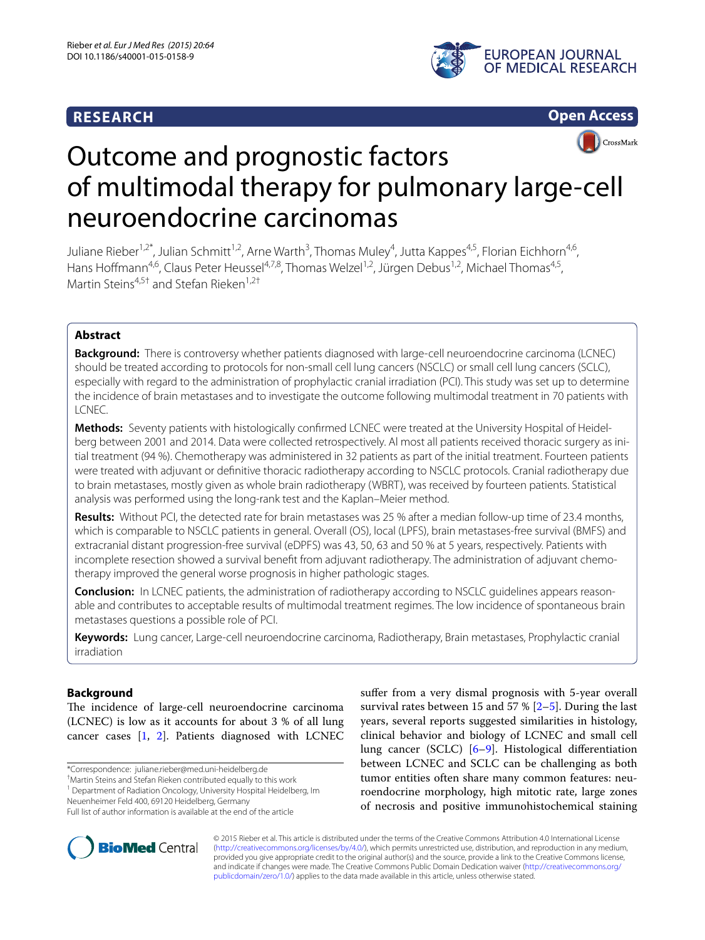# **RESEARCH**





# **CrossMark** Outcome and prognostic factors of multimodal therapy for pulmonary large-cell neuroendocrine carcinomas

Juliane Rieber<sup>1,2\*</sup>, Julian Schmitt<sup>1,2</sup>, Arne Warth<sup>3</sup>, Thomas Muley<sup>4</sup>, Jutta Kappes<sup>4,5</sup>, Florian Eichhorn<sup>4,6</sup>, Hans Hoffmann<sup>4,6</sup>, Claus Peter Heussel<sup>4,7,8</sup>, Thomas Welzel<sup>1,2</sup>, Jürgen Debus<sup>1,2</sup>, Michael Thomas<sup>4,5</sup>, Martin Steins<sup>4,5†</sup> and Stefan Rieken<sup>1,2†</sup>

## **Abstract**

**Background:** There is controversy whether patients diagnosed with large-cell neuroendocrine carcinoma (LCNEC) should be treated according to protocols for non-small cell lung cancers (NSCLC) or small cell lung cancers (SCLC), especially with regard to the administration of prophylactic cranial irradiation (PCI). This study was set up to determine the incidence of brain metastases and to investigate the outcome following multimodal treatment in 70 patients with LCNEC.

**Methods:** Seventy patients with histologically confirmed LCNEC were treated at the University Hospital of Heidelberg between 2001 and 2014. Data were collected retrospectively. Al most all patients received thoracic surgery as initial treatment (94 %). Chemotherapy was administered in 32 patients as part of the initial treatment. Fourteen patients were treated with adjuvant or definitive thoracic radiotherapy according to NSCLC protocols. Cranial radiotherapy due to brain metastases, mostly given as whole brain radiotherapy (WBRT), was received by fourteen patients. Statistical analysis was performed using the long-rank test and the Kaplan–Meier method.

**Results:** Without PCI, the detected rate for brain metastases was 25 % after a median follow-up time of 23.4 months, which is comparable to NSCLC patients in general. Overall (OS), local (LPFS), brain metastases-free survival (BMFS) and extracranial distant progression-free survival (eDPFS) was 43, 50, 63 and 50 % at 5 years, respectively. Patients with incomplete resection showed a survival benefit from adjuvant radiotherapy. The administration of adjuvant chemotherapy improved the general worse prognosis in higher pathologic stages.

**Conclusion:** In LCNEC patients, the administration of radiotherapy according to NSCLC guidelines appears reasonable and contributes to acceptable results of multimodal treatment regimes. The low incidence of spontaneous brain metastases questions a possible role of PCI.

**Keywords:** Lung cancer, Large-cell neuroendocrine carcinoma, Radiotherapy, Brain metastases, Prophylactic cranial irradiation

# **Background**

The incidence of large-cell neuroendocrine carcinoma (LCNEC) is low as it accounts for about 3 % of all lung cancer cases [[1](#page-6-0), [2](#page-6-1)]. Patients diagnosed with LCNEC

\*Correspondence: juliane.rieber@med.uni-heidelberg.de †

Martin Steins and Stefan Rieken contributed equally to this work

<sup>1</sup> Department of Radiation Oncology, University Hospital Heidelberg, Im

Neuenheimer Feld 400, 69120 Heidelberg, Germany





© 2015 Rieber et al. This article is distributed under the terms of the Creative Commons Attribution 4.0 International License [\(http://creativecommons.org/licenses/by/4.0/\)](http://creativecommons.org/licenses/by/4.0/), which permits unrestricted use, distribution, and reproduction in any medium, provided you give appropriate credit to the original author(s) and the source, provide a link to the Creative Commons license, and indicate if changes were made. The Creative Commons Public Domain Dedication waiver ([http://creativecommons.org/](http://creativecommons.org/publicdomain/zero/1.0/) [publicdomain/zero/1.0/](http://creativecommons.org/publicdomain/zero/1.0/)) applies to the data made available in this article, unless otherwise stated.

Full list of author information is available at the end of the article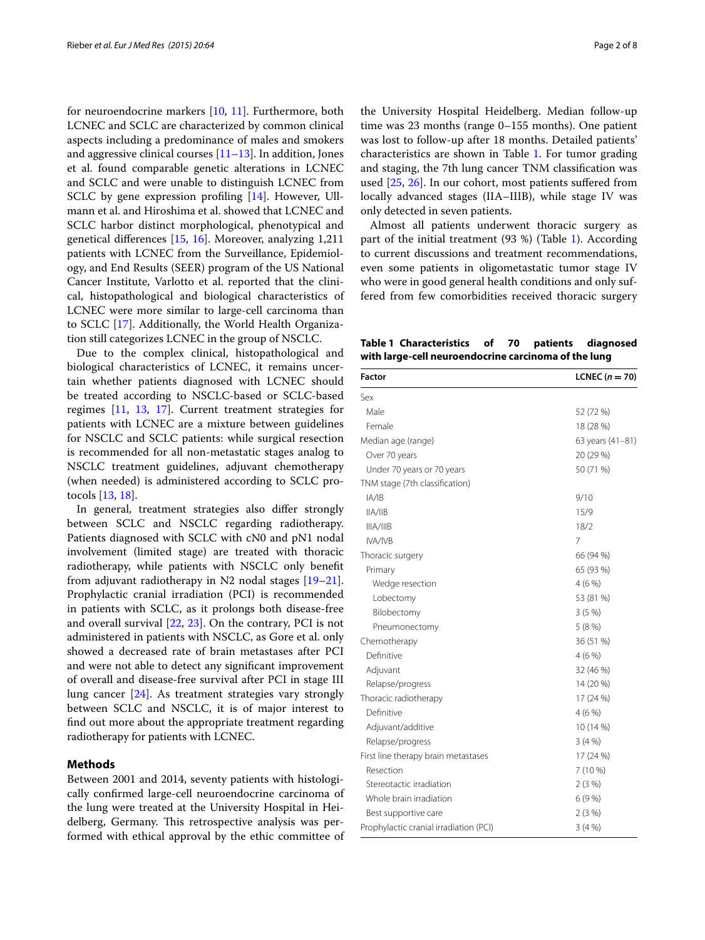for neuroendocrine markers [[10,](#page-6-5) [11](#page-6-6)]. Furthermore, both LCNEC and SCLC are characterized by common clinical aspects including a predominance of males and smokers and aggressive clinical courses [[11](#page-6-6)[–13](#page-6-7)]. In addition, Jones et al. found comparable genetic alterations in LCNEC and SCLC and were unable to distinguish LCNEC from SCLC by gene expression profiling [\[14](#page-6-8)]. However, Ullmann et al. and Hiroshima et al. showed that LCNEC and SCLC harbor distinct morphological, phenotypical and genetical differences [\[15](#page-6-9), [16](#page-6-10)]. Moreover, analyzing 1,211 patients with LCNEC from the Surveillance, Epidemiology, and End Results (SEER) program of the US National Cancer Institute, Varlotto et al. reported that the clinical, histopathological and biological characteristics of LCNEC were more similar to large-cell carcinoma than to SCLC [[17\]](#page-6-11). Additionally, the World Health Organization still categorizes LCNEC in the group of NSCLC.

Due to the complex clinical, histopathological and biological characteristics of LCNEC, it remains uncertain whether patients diagnosed with LCNEC should be treated according to NSCLC-based or SCLC-based regimes [\[11](#page-6-6), [13](#page-6-7), [17](#page-6-11)]. Current treatment strategies for patients with LCNEC are a mixture between guidelines for NSCLC and SCLC patients: while surgical resection is recommended for all non-metastatic stages analog to NSCLC treatment guidelines, adjuvant chemotherapy (when needed) is administered according to SCLC protocols [[13](#page-6-7), [18\]](#page-6-12).

In general, treatment strategies also differ strongly between SCLC and NSCLC regarding radiotherapy. Patients diagnosed with SCLC with cN0 and pN1 nodal involvement (limited stage) are treated with thoracic radiotherapy, while patients with NSCLC only benefit from adjuvant radiotherapy in N2 nodal stages [[19](#page-6-13)[–21](#page-6-14)]. Prophylactic cranial irradiation (PCI) is recommended in patients with SCLC, as it prolongs both disease-free and overall survival [[22](#page-6-15), [23](#page-6-16)]. On the contrary, PCI is not administered in patients with NSCLC, as Gore et al. only showed a decreased rate of brain metastases after PCI and were not able to detect any significant improvement of overall and disease-free survival after PCI in stage III lung cancer [\[24](#page-7-0)]. As treatment strategies vary strongly between SCLC and NSCLC, it is of major interest to find out more about the appropriate treatment regarding radiotherapy for patients with LCNEC.

## **Methods**

Between 2001 and 2014, seventy patients with histologically confirmed large-cell neuroendocrine carcinoma of the lung were treated at the University Hospital in Heidelberg, Germany. This retrospective analysis was performed with ethical approval by the ethic committee of

the University Hospital Heidelberg. Median follow-up time was 23 months (range 0–155 months). One patient was lost to follow-up after 18 months. Detailed patients' characteristics are shown in Table [1.](#page-1-0) For tumor grading and staging, the 7th lung cancer TNM classification was used [[25,](#page-7-1) [26\]](#page-7-2). In our cohort, most patients suffered from locally advanced stages (IIA–IIIB), while stage IV was only detected in seven patients.

Almost all patients underwent thoracic surgery as part of the initial treatment (93 %) (Table [1](#page-1-0)). According to current discussions and treatment recommendations, even some patients in oligometastatic tumor stage IV who were in good general health conditions and only suffered from few comorbidities received thoracic surgery

<span id="page-1-0"></span>**Table 1 Characteristics of 70 patients diagnosed with large-cell neuroendocrine carcinoma of the lung**

| Factor                                 | LCNEC $(n = 70)$ |
|----------------------------------------|------------------|
| Sex                                    |                  |
| Male                                   | 52 (72 %)        |
| Female                                 | 18 (28 %)        |
| Median age (range)                     | 63 years (41-81) |
| Over 70 years                          | 20 (29 %)        |
| Under 70 years or 70 years             | 50 (71 %)        |
| TNM stage (7th classification)         |                  |
| A/ B                                   | 9/10             |
| IIA/IB                                 | 15/9             |
| IIIA/IIIB                              | 18/2             |
| IVA/IVB                                | 7                |
| Thoracic surgery                       | 66 (94 %)        |
| Primary                                | 65 (93 %)        |
| Wedge resection                        | 4(6%)            |
| Lobectomy                              | 53 (81 %)        |
| Bilobectomy                            | 3(5%)            |
| Pneumonectomy                          | 5(8%)            |
| Chemotherapy                           | 36 (51 %)        |
| Definitive                             | 4(6%)            |
| Adjuvant                               | 32 (46 %)        |
| Relapse/progress                       | 14 (20 %)        |
| Thoracic radiotherapy                  | 17 (24 %)        |
| Definitive                             | 4(6%)            |
| Adjuvant/additive                      | 10 (14 %)        |
| Relapse/progress                       | 3(4%)            |
| First line therapy brain metastases    | 17 (24 %)        |
| Resection                              | 7 (10 %)         |
| Stereotactic irradiation               | $2(3\%)$         |
| Whole brain irradiation                | 6(9%)            |
| Best supportive care                   | 2(3%)            |
| Prophylactic cranial irradiation (PCI) | 3(4%)            |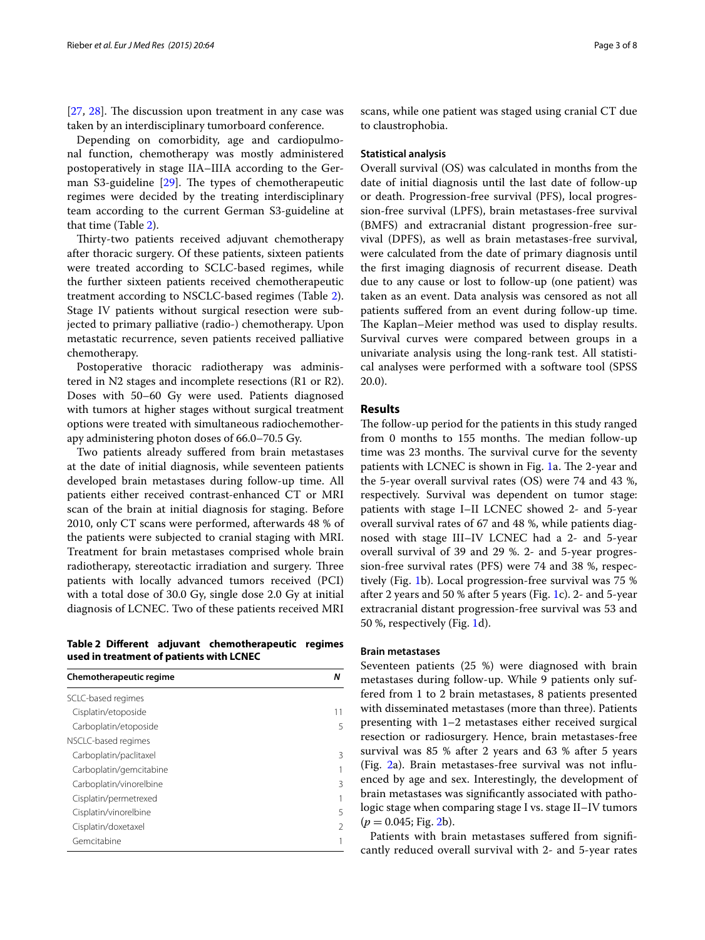[[27,](#page-7-3) [28\]](#page-7-4). The discussion upon treatment in any case was taken by an interdisciplinary tumorboard conference.

Depending on comorbidity, age and cardiopulmonal function, chemotherapy was mostly administered postoperatively in stage IIA–IIIA according to the German S3-guideline [\[29\]](#page-7-5). The types of chemotherapeutic regimes were decided by the treating interdisciplinary team according to the current German S3-guideline at that time (Table [2\)](#page-2-0).

Thirty-two patients received adjuvant chemotherapy after thoracic surgery. Of these patients, sixteen patients were treated according to SCLC-based regimes, while the further sixteen patients received chemotherapeutic treatment according to NSCLC-based regimes (Table [2](#page-2-0)). Stage IV patients without surgical resection were subjected to primary palliative (radio-) chemotherapy. Upon metastatic recurrence, seven patients received palliative chemotherapy.

Postoperative thoracic radiotherapy was administered in N2 stages and incomplete resections (R1 or R2). Doses with 50–60 Gy were used. Patients diagnosed with tumors at higher stages without surgical treatment options were treated with simultaneous radiochemotherapy administering photon doses of 66.0–70.5 Gy.

Two patients already suffered from brain metastases at the date of initial diagnosis, while seventeen patients developed brain metastases during follow-up time. All patients either received contrast-enhanced CT or MRI scan of the brain at initial diagnosis for staging. Before 2010, only CT scans were performed, afterwards 48 % of the patients were subjected to cranial staging with MRI. Treatment for brain metastases comprised whole brain radiotherapy, stereotactic irradiation and surgery. Three patients with locally advanced tumors received (PCI) with a total dose of 30.0 Gy, single dose 2.0 Gy at initial diagnosis of LCNEC. Two of these patients received MRI

<span id="page-2-0"></span>**Table 2 Different adjuvant chemotherapeutic regimes used in treatment of patients with LCNEC**

| Chemotherapeutic regime | Ν  |
|-------------------------|----|
| SCLC-based regimes      |    |
| Cisplatin/etoposide     | 11 |
| Carboplatin/etoposide   | 5  |
| NSCLC-based regimes     |    |
| Carboplatin/paclitaxel  | 3  |
| Carboplatin/gemcitabine |    |
| Carboplatin/vinorelbine | 3  |
| Cisplatin/permetrexed   |    |
| Cisplatin/vinorelbine   | 5  |
| Cisplatin/doxetaxel     | 2  |
| Gemcitabine             | 1  |

scans, while one patient was staged using cranial CT due to claustrophobia.

#### **Statistical analysis**

Overall survival (OS) was calculated in months from the date of initial diagnosis until the last date of follow-up or death. Progression-free survival (PFS), local progression-free survival (LPFS), brain metastases-free survival (BMFS) and extracranial distant progression-free survival (DPFS), as well as brain metastases-free survival, were calculated from the date of primary diagnosis until the first imaging diagnosis of recurrent disease. Death due to any cause or lost to follow-up (one patient) was taken as an event. Data analysis was censored as not all patients suffered from an event during follow-up time. The Kaplan–Meier method was used to display results. Survival curves were compared between groups in a univariate analysis using the long-rank test. All statistical analyses were performed with a software tool (SPSS 20.0).

### **Results**

The follow-up period for the patients in this study ranged from 0 months to 155 months. The median follow-up time was 23 months. The survival curve for the seventy patients with LCNEC is shown in Fig. [1](#page-3-0)a. The 2-year and the 5-year overall survival rates (OS) were 74 and 43 %, respectively. Survival was dependent on tumor stage: patients with stage I–II LCNEC showed 2- and 5-year overall survival rates of 67 and 48 %, while patients diagnosed with stage III–IV LCNEC had a 2- and 5-year overall survival of 39 and 29 %. 2- and 5-year progression-free survival rates (PFS) were 74 and 38 %, respectively (Fig. [1b](#page-3-0)). Local progression-free survival was 75 % after 2 years and 50 % after 5 years (Fig. [1](#page-3-0)c). 2- and 5-year extracranial distant progression-free survival was 53 and 50 %, respectively (Fig. [1](#page-3-0)d).

## **Brain metastases**

Seventeen patients (25 %) were diagnosed with brain metastases during follow-up. While 9 patients only suffered from 1 to 2 brain metastases, 8 patients presented with disseminated metastases (more than three). Patients presenting with 1–2 metastases either received surgical resection or radiosurgery. Hence, brain metastases-free survival was 85 % after 2 years and 63 % after 5 years (Fig. [2](#page-4-0)a). Brain metastases-free survival was not influenced by age and sex. Interestingly, the development of brain metastases was significantly associated with pathologic stage when comparing stage I vs. stage II–IV tumors  $(p = 0.045;$  Fig. [2b](#page-4-0)).

Patients with brain metastases suffered from significantly reduced overall survival with 2- and 5-year rates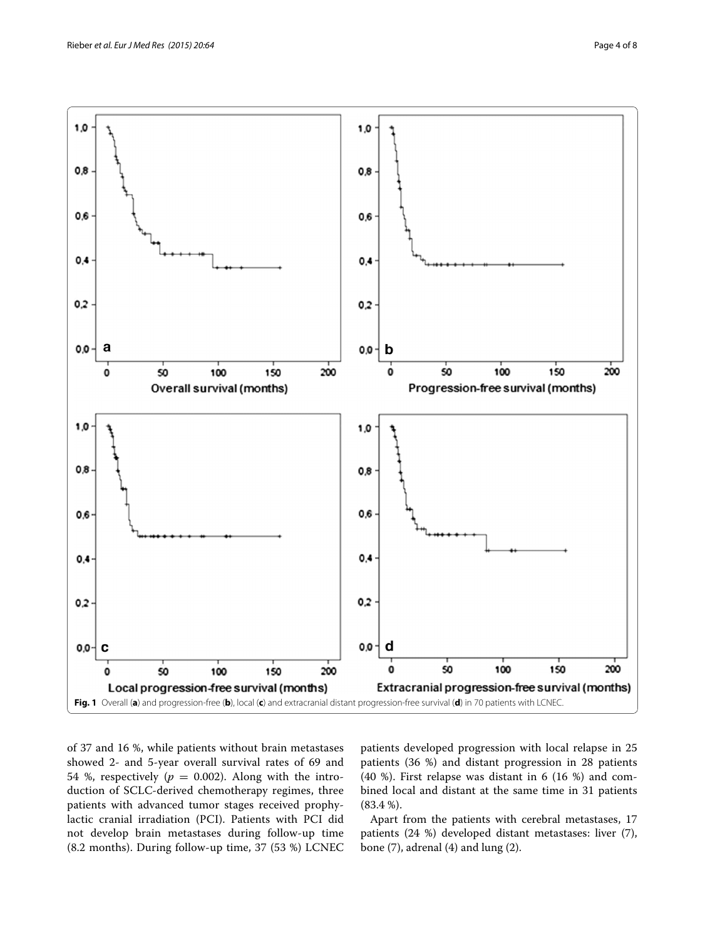

<span id="page-3-0"></span>of 37 and 16 %, while patients without brain metastases showed 2- and 5-year overall survival rates of 69 and 54 %, respectively ( $p = 0.002$ ). Along with the introduction of SCLC-derived chemotherapy regimes, three patients with advanced tumor stages received prophylactic cranial irradiation (PCI). Patients with PCI did not develop brain metastases during follow-up time (8.2 months). During follow-up time, 37 (53 %) LCNEC patients developed progression with local relapse in 25 patients (36 %) and distant progression in 28 patients  $(40 \%)$ . First relapse was distant in 6  $(16 \%)$  and combined local and distant at the same time in 31 patients (83.4 %).

Apart from the patients with cerebral metastases, 17 patients (24 %) developed distant metastases: liver (7), bone (7), adrenal (4) and lung (2).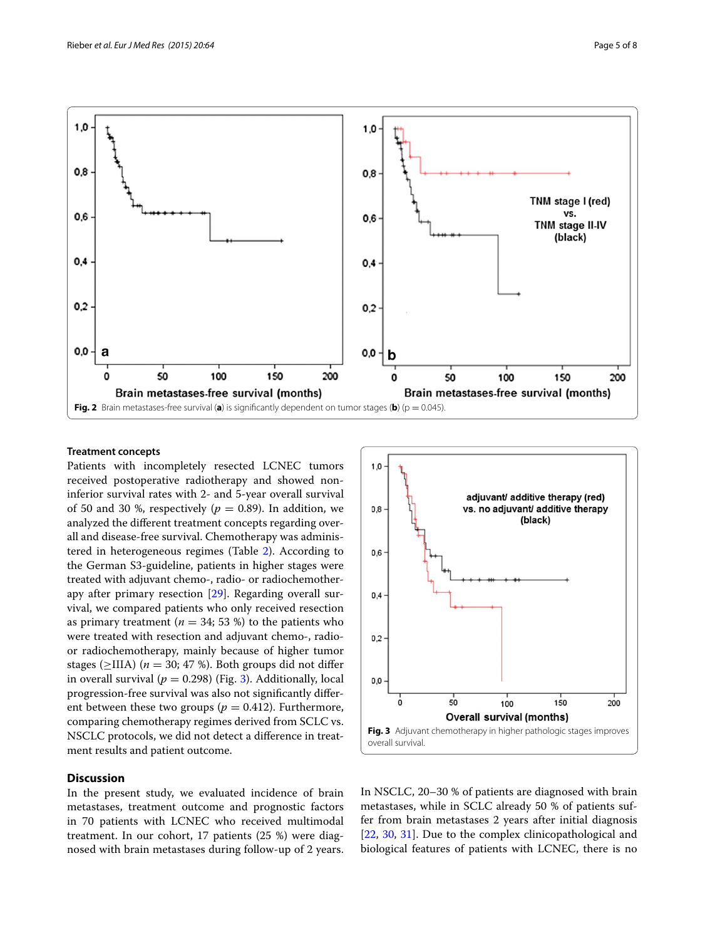

## <span id="page-4-0"></span>**Treatment concepts**

Patients with incompletely resected LCNEC tumors received postoperative radiotherapy and showed noninferior survival rates with 2- and 5-year overall survival of 50 and 30 %, respectively ( $p = 0.89$ ). In addition, we analyzed the different treatment concepts regarding overall and disease-free survival. Chemotherapy was administered in heterogeneous regimes (Table [2\)](#page-2-0). According to the German S3-guideline, patients in higher stages were treated with adjuvant chemo-, radio- or radiochemotherapy after primary resection [[29\]](#page-7-5). Regarding overall survival, we compared patients who only received resection as primary treatment ( $n = 34$ ; 53 %) to the patients who were treated with resection and adjuvant chemo-, radioor radiochemotherapy, mainly because of higher tumor stages ( $\geq$ IIIA) (*n* = 30; 47 %). Both groups did not differ in overall survival ( $p = 0.298$ ) (Fig. [3\)](#page-4-1). Additionally, local progression-free survival was also not significantly different between these two groups ( $p = 0.412$ ). Furthermore, comparing chemotherapy regimes derived from SCLC vs. NSCLC protocols, we did not detect a difference in treatment results and patient outcome.

## **Discussion**

In the present study, we evaluated incidence of brain metastases, treatment outcome and prognostic factors in 70 patients with LCNEC who received multimodal treatment. In our cohort, 17 patients (25 %) were diagnosed with brain metastases during follow-up of 2 years.



<span id="page-4-1"></span>In NSCLC, 20–30 % of patients are diagnosed with brain metastases, while in SCLC already 50 % of patients suffer from brain metastases 2 years after initial diagnosis [[22,](#page-6-15) [30](#page-7-6), [31](#page-7-7)]. Due to the complex clinicopathological and biological features of patients with LCNEC, there is no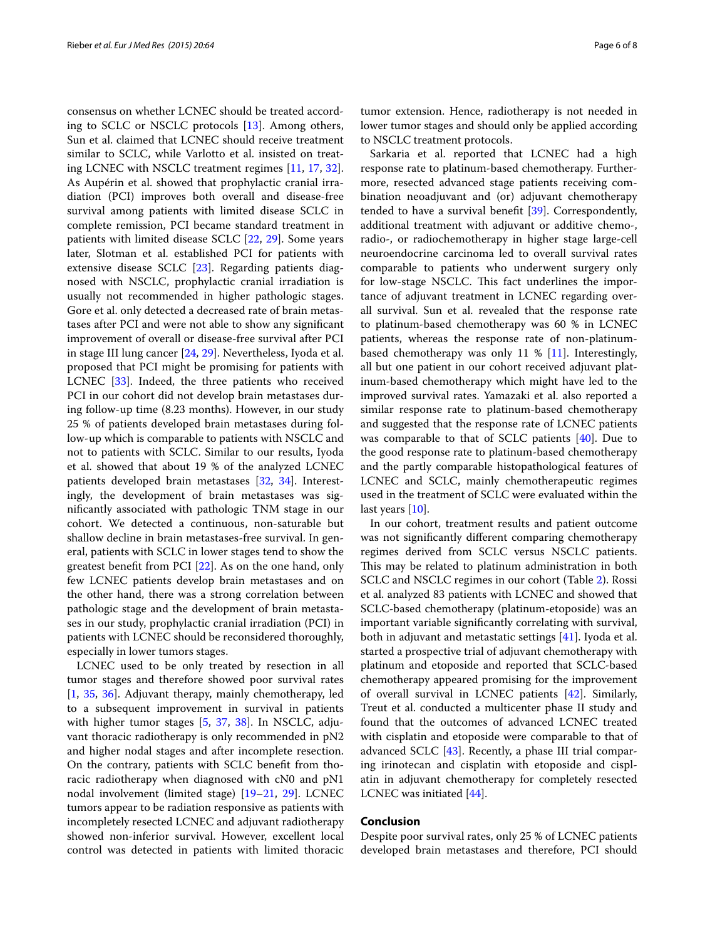consensus on whether LCNEC should be treated according to SCLC or NSCLC protocols [[13](#page-6-7)]. Among others, Sun et al. claimed that LCNEC should receive treatment similar to SCLC, while Varlotto et al. insisted on treating LCNEC with NSCLC treatment regimes [\[11](#page-6-6), [17](#page-6-11), [32](#page-7-8)]. As Aupérin et al. showed that prophylactic cranial irradiation (PCI) improves both overall and disease-free survival among patients with limited disease SCLC in complete remission, PCI became standard treatment in patients with limited disease SCLC [\[22](#page-6-15), [29\]](#page-7-5). Some years later, Slotman et al. established PCI for patients with extensive disease SCLC [[23\]](#page-6-16). Regarding patients diagnosed with NSCLC, prophylactic cranial irradiation is usually not recommended in higher pathologic stages. Gore et al. only detected a decreased rate of brain metastases after PCI and were not able to show any significant improvement of overall or disease-free survival after PCI in stage III lung cancer [\[24,](#page-7-0) [29](#page-7-5)]. Nevertheless, Iyoda et al. proposed that PCI might be promising for patients with LCNEC [\[33\]](#page-7-9). Indeed, the three patients who received PCI in our cohort did not develop brain metastases during follow-up time (8.23 months). However, in our study 25 % of patients developed brain metastases during follow-up which is comparable to patients with NSCLC and not to patients with SCLC. Similar to our results, Iyoda et al. showed that about 19 % of the analyzed LCNEC patients developed brain metastases [[32,](#page-7-8) [34\]](#page-7-10). Interestingly, the development of brain metastases was significantly associated with pathologic TNM stage in our cohort. We detected a continuous, non-saturable but shallow decline in brain metastases-free survival. In general, patients with SCLC in lower stages tend to show the greatest benefit from PCI [[22\]](#page-6-15). As on the one hand, only few LCNEC patients develop brain metastases and on the other hand, there was a strong correlation between pathologic stage and the development of brain metastases in our study, prophylactic cranial irradiation (PCI) in patients with LCNEC should be reconsidered thoroughly, especially in lower tumors stages.

LCNEC used to be only treated by resection in all tumor stages and therefore showed poor survival rates [[1,](#page-6-0) [35](#page-7-11), [36](#page-7-12)]. Adjuvant therapy, mainly chemotherapy, led to a subsequent improvement in survival in patients with higher tumor stages [\[5](#page-6-2), [37](#page-7-13), [38\]](#page-7-14). In NSCLC, adjuvant thoracic radiotherapy is only recommended in pN2 and higher nodal stages and after incomplete resection. On the contrary, patients with SCLC benefit from thoracic radiotherapy when diagnosed with cN0 and pN1 nodal involvement (limited stage) [[19–](#page-6-13)[21](#page-6-14), [29\]](#page-7-5). LCNEC tumors appear to be radiation responsive as patients with incompletely resected LCNEC and adjuvant radiotherapy showed non-inferior survival. However, excellent local control was detected in patients with limited thoracic

tumor extension. Hence, radiotherapy is not needed in lower tumor stages and should only be applied according to NSCLC treatment protocols.

Sarkaria et al. reported that LCNEC had a high response rate to platinum-based chemotherapy. Furthermore, resected advanced stage patients receiving combination neoadjuvant and (or) adjuvant chemotherapy tended to have a survival benefit [\[39\]](#page-7-15). Correspondently, additional treatment with adjuvant or additive chemo-, radio-, or radiochemotherapy in higher stage large-cell neuroendocrine carcinoma led to overall survival rates comparable to patients who underwent surgery only for low-stage NSCLC. This fact underlines the importance of adjuvant treatment in LCNEC regarding overall survival. Sun et al. revealed that the response rate to platinum-based chemotherapy was 60 % in LCNEC patients, whereas the response rate of non-platinumbased chemotherapy was only 11  $%$  [[11\]](#page-6-6). Interestingly, all but one patient in our cohort received adjuvant platinum-based chemotherapy which might have led to the improved survival rates. Yamazaki et al. also reported a similar response rate to platinum-based chemotherapy and suggested that the response rate of LCNEC patients was comparable to that of SCLC patients [[40](#page-7-16)]. Due to the good response rate to platinum-based chemotherapy and the partly comparable histopathological features of LCNEC and SCLC, mainly chemotherapeutic regimes used in the treatment of SCLC were evaluated within the last years [[10\]](#page-6-5).

In our cohort, treatment results and patient outcome was not significantly different comparing chemotherapy regimes derived from SCLC versus NSCLC patients. This may be related to platinum administration in both SCLC and NSCLC regimes in our cohort (Table [2](#page-2-0)). Rossi et al. analyzed 83 patients with LCNEC and showed that SCLC-based chemotherapy (platinum-etoposide) was an important variable significantly correlating with survival, both in adjuvant and metastatic settings [[41](#page-7-17)]. Iyoda et al. started a prospective trial of adjuvant chemotherapy with platinum and etoposide and reported that SCLC-based chemotherapy appeared promising for the improvement of overall survival in LCNEC patients [\[42\]](#page-7-18). Similarly, Treut et al. conducted a multicenter phase II study and found that the outcomes of advanced LCNEC treated with cisplatin and etoposide were comparable to that of advanced SCLC [\[43](#page-7-19)]. Recently, a phase III trial comparing irinotecan and cisplatin with etoposide and cisplatin in adjuvant chemotherapy for completely resected LCNEC was initiated [[44](#page-7-20)].

## **Conclusion**

Despite poor survival rates, only 25 % of LCNEC patients developed brain metastases and therefore, PCI should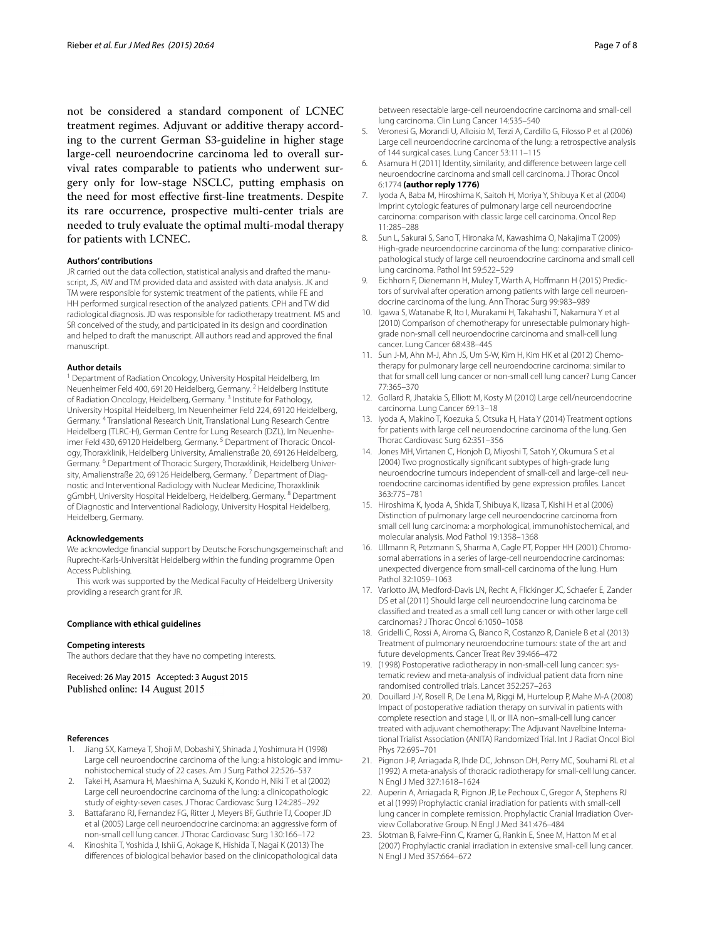not be considered a standard component of LCNEC treatment regimes. Adjuvant or additive therapy according to the current German S3-guideline in higher stage large-cell neuroendocrine carcinoma led to overall survival rates comparable to patients who underwent surgery only for low-stage NSCLC, putting emphasis on the need for most effective first-line treatments. Despite its rare occurrence, prospective multi-center trials are needed to truly evaluate the optimal multi-modal therapy for patients with LCNEC.

#### **Authors' contributions**

JR carried out the data collection, statistical analysis and drafted the manuscript, JS, AW and TM provided data and assisted with data analysis. JK and TM were responsible for systemic treatment of the patients, while FE and HH performed surgical resection of the analyzed patients. CPH and TW did radiological diagnosis. JD was responsible for radiotherapy treatment. MS and SR conceived of the study, and participated in its design and coordination and helped to draft the manuscript. All authors read and approved the final manuscript.

#### **Author details**

<sup>1</sup> Department of Radiation Oncology, University Hospital Heidelberg, Im Neuenheimer Feld 400, 69120 Heidelberg, Germany. <sup>2</sup> Heidelberg Institute of Radiation Oncology, Heidelberg, Germany.<sup>3</sup> Institute for Pathology, University Hospital Heidelberg, Im Neuenheimer Feld 224, 69120 Heidelberg, Germany. 4 Translational Research Unit, Translational Lung Research Centre Heidelberg (TLRC-H), German Centre for Lung Research (DZL), Im Neuenheimer Feld 430, 69120 Heidelberg, Germany.<sup>5</sup> Department of Thoracic Oncology, Thoraxklinik, Heidelberg University, Amalienstraße 20, 69126 Heidelberg, Germany. 6 Department of Thoracic Surgery, Thoraxklinik, Heidelberg University, Amalienstraße 20, 69126 Heidelberg, Germany.<sup>7</sup> Department of Diagnostic and Interventional Radiology with Nuclear Medicine, Thoraxklinik gGmbH, University Hospital Heidelberg, Heidelberg, Germany. 8 Department of Diagnostic and Interventional Radiology, University Hospital Heidelberg, Heidelberg, Germany.

#### **Acknowledgements**

We acknowledge financial support by Deutsche Forschungsgemeinschaft and Ruprecht-Karls-Universität Heidelberg within the funding programme Open Access Publishing.

This work was supported by the Medical Faculty of Heidelberg University providing a research grant for JR.

#### **Compliance with ethical guidelines**

#### **Competing interests**

The authors declare that they have no competing interests.

Received: 26 May 2015 Accepted: 3 August 2015 Published online: 14 August 2015

#### **References**

- <span id="page-6-0"></span>1. Jiang SX, Kameya T, Shoji M, Dobashi Y, Shinada J, Yoshimura H (1998) Large cell neuroendocrine carcinoma of the lung: a histologic and immunohistochemical study of 22 cases. Am J Surg Pathol 22:526–537
- <span id="page-6-1"></span>2. Takei H, Asamura H, Maeshima A, Suzuki K, Kondo H, Niki T et al (2002) Large cell neuroendocrine carcinoma of the lung: a clinicopathologic study of eighty-seven cases. J Thorac Cardiovasc Surg 124:285–292
- 3. Battafarano RJ, Fernandez FG, Ritter J, Meyers BF, Guthrie TJ, Cooper JD et al (2005) Large cell neuroendocrine carcinoma: an aggressive form of non-small cell lung cancer. J Thorac Cardiovasc Surg 130:166–172
- 4. Kinoshita T, Yoshida J, Ishii G, Aokage K, Hishida T, Nagai K (2013) The differences of biological behavior based on the clinicopathological data

between resectable large-cell neuroendocrine carcinoma and small-cell lung carcinoma. Clin Lung Cancer 14:535–540

- <span id="page-6-2"></span>5. Veronesi G, Morandi U, Alloisio M, Terzi A, Cardillo G, Filosso P et al (2006) Large cell neuroendocrine carcinoma of the lung: a retrospective analysis of 144 surgical cases. Lung Cancer 53:111–115
- <span id="page-6-3"></span>6. Asamura H (2011) Identity, similarity, and difference between large cell neuroendocrine carcinoma and small cell carcinoma. J Thorac Oncol 6:1774 **(author reply 1776)**
- 7. Iyoda A, Baba M, Hiroshima K, Saitoh H, Moriya Y, Shibuya K et al (2004) Imprint cytologic features of pulmonary large cell neuroendocrine carcinoma: comparison with classic large cell carcinoma. Oncol Rep 11:285–288
- 8. Sun L, Sakurai S, Sano T, Hironaka M, Kawashima O, Nakajima T (2009) High-grade neuroendocrine carcinoma of the lung: comparative clinicopathological study of large cell neuroendocrine carcinoma and small cell lung carcinoma. Pathol Int 59:522–529
- <span id="page-6-4"></span>9. Eichhorn F, Dienemann H, Muley T, Warth A, Hoffmann H (2015) Predictors of survival after operation among patients with large cell neuroendocrine carcinoma of the lung. Ann Thorac Surg 99:983–989
- <span id="page-6-5"></span>10. Igawa S, Watanabe R, Ito I, Murakami H, Takahashi T, Nakamura Y et al (2010) Comparison of chemotherapy for unresectable pulmonary highgrade non-small cell neuroendocrine carcinoma and small-cell lung cancer. Lung Cancer 68:438–445
- <span id="page-6-6"></span>11. Sun J-M, Ahn M-J, Ahn JS, Um S-W, Kim H, Kim HK et al (2012) Chemotherapy for pulmonary large cell neuroendocrine carcinoma: similar to that for small cell lung cancer or non-small cell lung cancer? Lung Cancer 77:365–370
- 12. Gollard R, Jhatakia S, Elliott M, Kosty M (2010) Large cell/neuroendocrine carcinoma. Lung Cancer 69:13–18
- <span id="page-6-7"></span>13. Iyoda A, Makino T, Koezuka S, Otsuka H, Hata Y (2014) Treatment options for patients with large cell neuroendocrine carcinoma of the lung. Gen Thorac Cardiovasc Surg 62:351–356
- <span id="page-6-8"></span>14. Jones MH, Virtanen C, Honjoh D, Miyoshi T, Satoh Y, Okumura S et al (2004) Two prognostically significant subtypes of high-grade lung neuroendocrine tumours independent of small-cell and large-cell neuroendocrine carcinomas identified by gene expression profiles. Lancet 363:775–781
- <span id="page-6-9"></span>15. Hiroshima K, Iyoda A, Shida T, Shibuya K, Iizasa T, Kishi H et al (2006) Distinction of pulmonary large cell neuroendocrine carcinoma from small cell lung carcinoma: a morphological, immunohistochemical, and molecular analysis. Mod Pathol 19:1358–1368
- <span id="page-6-10"></span>16. Ullmann R, Petzmann S, Sharma A, Cagle PT, Popper HH (2001) Chromosomal aberrations in a series of large-cell neuroendocrine carcinomas: unexpected divergence from small-cell carcinoma of the lung. Hum Pathol 32:1059–1063
- <span id="page-6-11"></span>17. Varlotto JM, Medford-Davis LN, Recht A, Flickinger JC, Schaefer E, Zander DS et al (2011) Should large cell neuroendocrine lung carcinoma be classified and treated as a small cell lung cancer or with other large cell carcinomas? J Thorac Oncol 6:1050–1058
- <span id="page-6-12"></span>18. Gridelli C, Rossi A, Airoma G, Bianco R, Costanzo R, Daniele B et al (2013) Treatment of pulmonary neuroendocrine tumours: state of the art and future developments. Cancer Treat Rev 39:466–472
- <span id="page-6-13"></span>19. (1998) Postoperative radiotherapy in non-small-cell lung cancer: systematic review and meta-analysis of individual patient data from nine randomised controlled trials. Lancet 352:257–263
- 20. Douillard J-Y, Rosell R, De Lena M, Riggi M, Hurteloup P, Mahe M-A (2008) Impact of postoperative radiation therapy on survival in patients with complete resection and stage I, II, or IIIA non–small-cell lung cancer treated with adjuvant chemotherapy: The Adjuvant Navelbine International Trialist Association (ANITA) Randomized Trial. Int J Radiat Oncol Biol Phys 72:695–701
- <span id="page-6-14"></span>21. Pignon J-P, Arriagada R, Ihde DC, Johnson DH, Perry MC, Souhami RL et al (1992) A meta-analysis of thoracic radiotherapy for small-cell lung cancer. N Engl J Med 327:1618–1624
- <span id="page-6-15"></span>22. Auperin A, Arriagada R, Pignon JP, Le Pechoux C, Gregor A, Stephens RJ et al (1999) Prophylactic cranial irradiation for patients with small-cell lung cancer in complete remission. Prophylactic Cranial Irradiation Overview Collaborative Group. N Engl J Med 341:476–484
- <span id="page-6-16"></span>23. Slotman B, Faivre-Finn C, Kramer G, Rankin E, Snee M, Hatton M et al (2007) Prophylactic cranial irradiation in extensive small-cell lung cancer. N Engl J Med 357:664–672